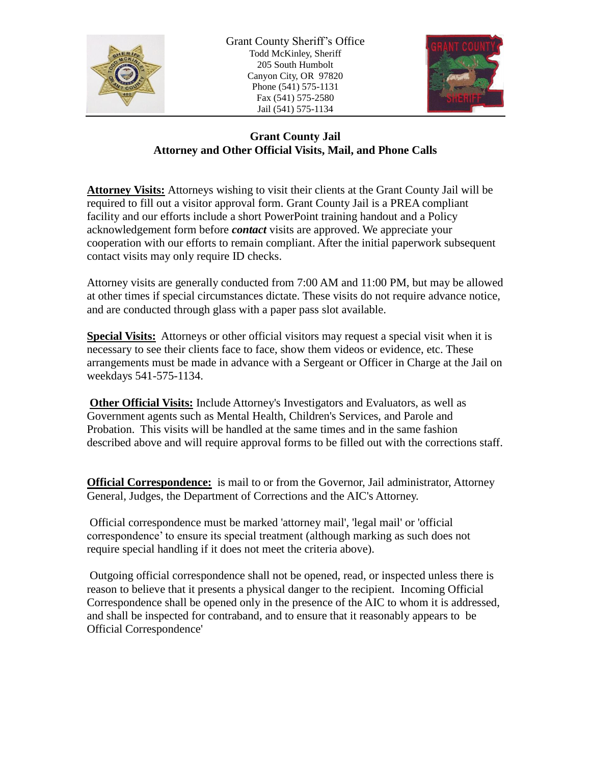

Grant County Sheriff's Office Todd McKinley, Sheriff 205 South Humbolt Canyon City, OR 97820 Phone (541) 575-1131 Fax (541) 575-2580 Jail (541) 575-1134



## **Grant County Jail Attorney and Other Official Visits, Mail, and Phone Calls**

**Attorney Visits:** Attorneys wishing to visit their clients at the Grant County Jail will be required to fill out a visitor approval form. Grant County Jail is a PREA compliant facility and our efforts include a short PowerPoint training handout and a Policy acknowledgement form before *contact* visits are approved. We appreciate your cooperation with our efforts to remain compliant. After the initial paperwork subsequent contact visits may only require ID checks.

Attorney visits are generally conducted from 7:00 AM and 11:00 PM, but may be allowed at other times if special circumstances dictate. These visits do not require advance notice, and are conducted through glass with a paper pass slot available.

**Special Visits:** Attorneys or other official visitors may request a special visit when it is necessary to see their clients face to face, show them videos or evidence, etc. These arrangements must be made in advance with a Sergeant or Officer in Charge at the Jail on weekdays 541-575-1134.

**Other Official Visits:** Include Attorney's Investigators and Evaluators, as well as Government agents such as Mental Health, Children's Services, and Parole and Probation. This visits will be handled at the same times and in the same fashion described above and will require approval forms to be filled out with the corrections staff.

**Official Correspondence:** is mail to or from the Governor, Jail administrator, Attorney General, Judges, the Department of Corrections and the AIC's Attorney.

Official correspondence must be marked 'attorney mail', 'legal mail' or 'official correspondence' to ensure its special treatment (although marking as such does not require special handling if it does not meet the criteria above).

Outgoing official correspondence shall not be opened, read, or inspected unless there is reason to believe that it presents a physical danger to the recipient. Incoming Official Correspondence shall be opened only in the presence of the AIC to whom it is addressed, and shall be inspected for contraband, and to ensure that it reasonably appears to be Official Correspondence'